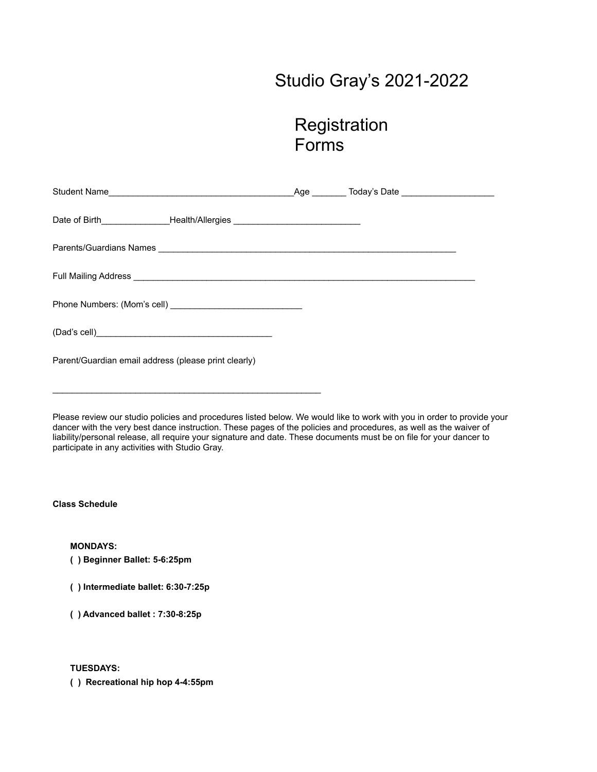# Studio Gray's 2021-2022

# **Registration** Forms

| Student Name                                                                                                              |  |  | _Age _________ Today's Date ______________________ |
|---------------------------------------------------------------------------------------------------------------------------|--|--|----------------------------------------------------|
| Date of Birth___________________Health/Allergies _______________________________                                          |  |  |                                                    |
|                                                                                                                           |  |  |                                                    |
| Full Mailing Address <b>Container Address Container Address and Container Address and Container Address and Container</b> |  |  |                                                    |
|                                                                                                                           |  |  |                                                    |
|                                                                                                                           |  |  |                                                    |
| Parent/Guardian email address (please print clearly)                                                                      |  |  |                                                    |

Please review our studio policies and procedures listed below. We would like to work with you in order to provide your dancer with the very best dance instruction. These pages of the policies and procedures, as well as the waiver of liability/personal release, all require your signature and date. These documents must be on file for your dancer to participate in any activities with Studio Gray.

**Class Schedule**

**MONDAYS:**

**( ) Beginner Ballet: 5-6:25pm**

**( ) Intermediate ballet: 6:30-7:25p**

 $\mathcal{L}_\text{max}$  and  $\mathcal{L}_\text{max}$  and  $\mathcal{L}_\text{max}$  and  $\mathcal{L}_\text{max}$  and  $\mathcal{L}_\text{max}$ 

**( ) Advanced ballet : 7:30-8:25p**

**TUESDAYS:**

**( ) Recreational hip hop 4-4:55pm**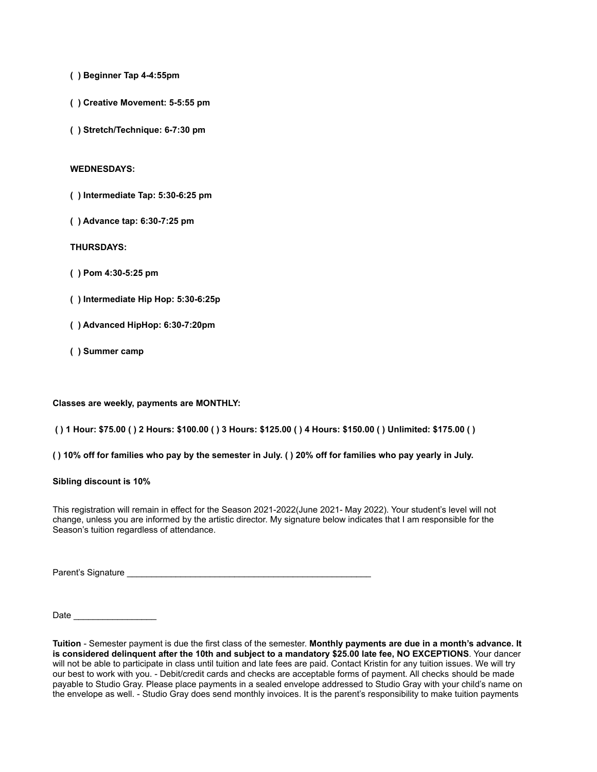- **( ) Beginner Tap 4-4:55pm**
- **( ) Creative Movement: 5-5:55 pm**
- **( ) Stretch/Technique: 6-7:30 pm**

### **WEDNESDAYS:**

- **( ) Intermediate Tap: 5:30-6:25 pm**
- **( ) Advance tap: 6:30-7:25 pm**

## **THURSDAYS:**

- **( ) Pom 4:30-5:25 pm**
- **( ) Intermediate Hip Hop: 5:30-6:25p**
- **( ) Advanced HipHop: 6:30-7:20pm**
- **( ) Summer camp**

#### **Classes are weekly, payments are MONTHLY:**

# **( ) 1 Hour: \$75.00 ( ) 2 Hours: \$100.00 ( ) 3 Hours: \$125.00 ( ) 4 Hours: \$150.00 ( ) Unlimited: \$175.00 ( )**

**( ) 10% off for families who pay by the semester in July. ( ) 20% off for families who pay yearly in July.**

#### **Sibling discount is 10%**

This registration will remain in effect for the Season 2021-2022(June 2021- May 2022). Your student's level will not change, unless you are informed by the artistic director. My signature below indicates that I am responsible for the Season's tuition regardless of attendance.

Parent's Signature \_\_\_\_\_\_\_\_\_\_\_\_\_\_\_\_\_\_\_\_\_\_\_\_\_\_\_\_\_\_\_\_\_\_\_\_\_\_\_\_\_\_\_\_\_\_\_\_\_\_

Date \_\_\_\_\_\_\_\_\_\_\_\_\_\_\_\_\_

**Tuition** - Semester payment is due the first class of the semester. **Monthly payments are due in a month's advance. It is considered delinquent after the 10th and subject to a mandatory \$25.00 late fee, NO EXCEPTIONS**. Your dancer will not be able to participate in class until tuition and late fees are paid. Contact Kristin for any tuition issues. We will try our best to work with you. - Debit/credit cards and checks are acceptable forms of payment. All checks should be made payable to Studio Gray. Please place payments in a sealed envelope addressed to Studio Gray with your child's name on the envelope as well. - Studio Gray does send monthly invoices. It is the parent's responsibility to make tuition payments